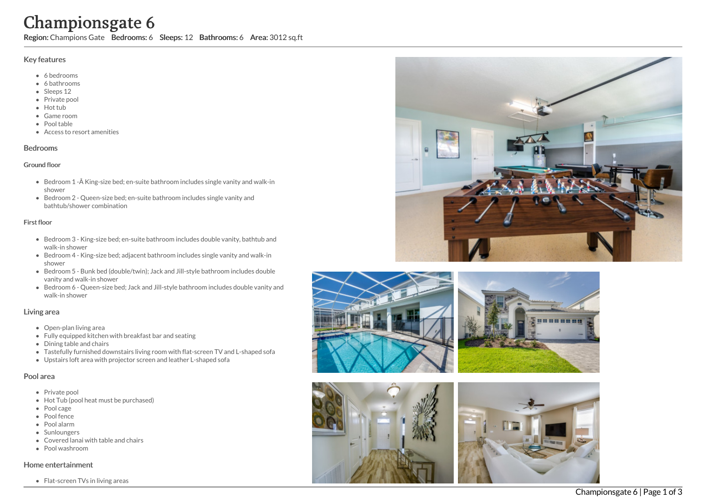# Championsgate 6

Region: Champions Gate Bedrooms: 6 Sleeps: 12 Bathrooms: 6 Area: 3012 sq.ft

#### Key features

- 6 b e d r o o m s
- 6 bathrooms
- Sleeps 12
- Private pool
- Hot tub
- Game room
- Pool table
- Access to resort amenities

#### **Bedrooms**

#### Ground floor

- Bedroom 1 -Â King-size bed; en-suite bathroom includes single vanity and walk-in s h o w e r
- Bedroom 2 Queen-size bed; en-suite bathroom includes single vanity and bathtub/shower combination

#### Fir s t flo o r

- Bedroom 3 King-size bed; en-suite bathroom includes double vanity, bathtub and walk-in shower
- Bedroom 4 King-size bed; adjacent bathroom includes single vanity and walk-in s h o w e r
- Bedroom 5 Bunk bed (double/twin); Jack and Jill-style bathroom includes double vanity and walk-in shower
- Bedroom 6 Queen-size bed; Jack and Jill-style bathroom includes double vanity and walk-in shower

#### Living area

- Open-plan living area
- Fully equipped kitchen with breakfast bar and seating
- Dining table and chairs
- Tastefully furnished downstairs living room with flat-screen TV and L-shaped sofa
- Upstairs loft area with projector screen and leather L-shaped sofa

# Pool area

- Private pool
- Hot Tub (pool heat must be purchased)
- Pool cage
- Pool fence
- P o ol ala r m
- **Sunloungers**
- Covered lanai with table and chairs
- Pool washroom

#### Home entertainment

Flat-screen TVs in living areas







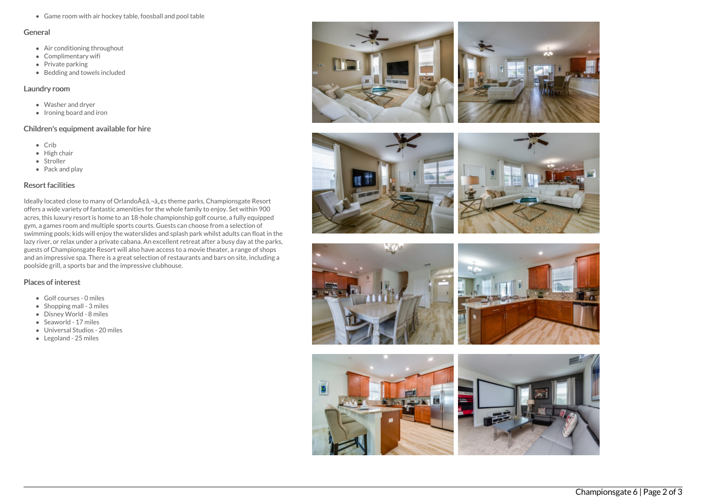Game room with air hockey table, foosball and pool table

#### General

- Air conditioning throughout
- Complimentary wifi
- Private parking
- Bedding and towels included

#### Laundry room

- Washer and dryer
- Ironing board and iron

## Children's equipment available for hire

- Crib
- High chair
- Stroller
- Pack and play

### Resort facilities

Ideally located close to many of Orlando $A\phi$ ,  $\phi$ ,  $\phi$ s theme parks, Championsgate Resort offers a wide variety of fantastic amenities for the whole family to enjoy. Set within 900 acres, this luxury resort is home to an 18-hole championship golf course, a fully equipped gym, a games room and multiple sports courts. Guests can choose from a selection of swimming pools; kids will enjoy the waterslides and splash park whilst adults can float in the lazy river, or relax under a private cabana. An excellent retreat after a busy day at the parks, guests of Championsgate Resort will also have access to a movie theater, a range of shops and an impressive spa. There is a great selection of restaurants and bars on site, including a poolside grill, a sports bar and the impressive clubhouse.

## Places of interest

- Golf courses 0 miles
- $\bullet$  Shopping mall 3 miles
- Disney World 8 miles
- Seaworld 17 miles
- Universal Studios 20 miles
- Legoland 25 miles